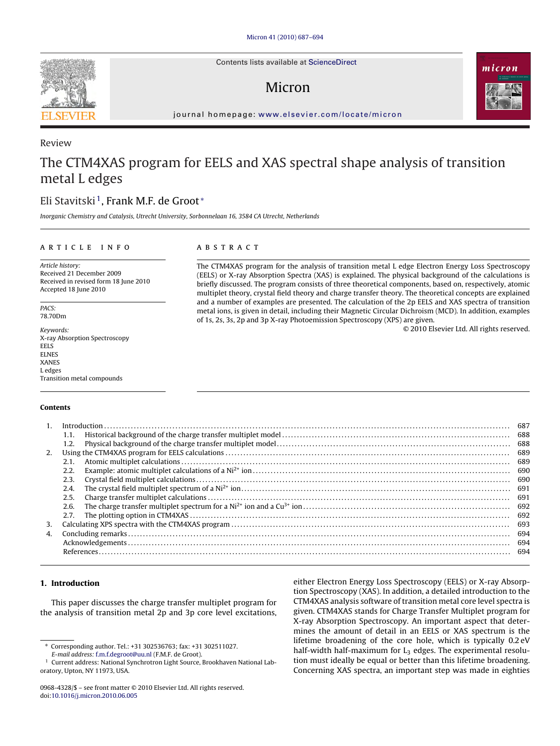Contents lists available at [ScienceDirect](http://www.sciencedirect.com/science/journal/09684328)

# Micron



journal homepage: [www.elsevier.com/locate/micron](http://www.elsevier.com/locate/micron)

# The CTM4XAS program for EELS and XAS spectral shape analysis of transition metal L edges

# Eli Stavitski 1, Frank M.F. de Groot <sup>∗</sup>

Inorganic Chemistry and Catalysis, Utrecht University, Sorbonnelaan 16, 3584 CA Utrecht, Netherlands

### ARTICLE INFO

Article history: Received 21 December 2009 Received in revised form 18 June 2010 Accepted 18 June 2010

PACS: 78.70Dm

Keywords: X-ray Absorption Spectroscopy EELS **ELNES** XANES L edges Transition metal compounds

#### **Contents**

# **ABSTRACT**

The CTM4XAS program for the analysis of transition metal L edge Electron Energy Loss Spectroscopy (EELS) or X-ray Absorption Spectra (XAS) is explained. The physical background of the calculations is briefly discussed. The program consists of three theoretical components, based on, respectively, atomic multiplet theory, crystal field theory and charge transfer theory. The theoretical concepts are explained and a number of examples are presented. The calculation of the 2p EELS and XAS spectra of transition metal ions, is given in detail, including their Magnetic Circular Dichroism (MCD). In addition, examples of 1s, 2s, 3s, 2p and 3p X-ray Photoemission Spectroscopy (XPS) are given.

© 2010 Elsevier Ltd. All rights reserved.

|    |      | 687 |
|----|------|-----|
|    | 1.1. | 688 |
|    | 1.2. | 688 |
| 2. |      | 689 |
|    | 2.1. | 689 |
|    | 2.2. | 690 |
|    | 2.3. | 690 |
|    | 2.4. | 691 |
|    | 2.5. | 691 |
|    | 2.6. |     |
|    | 2.7. | 692 |
| 3. |      | 693 |
| 4. |      | 694 |
|    |      | 694 |
|    |      | 694 |
|    |      |     |

### **1. Introduction**

This paper discusses the charge transfer multiplet program for the analysis of transition metal 2p and 3p core level excitations,

either Electron Energy Loss Spectroscopy (EELS) or X-ray Absorption Spectroscopy (XAS). In addition, a detailed introduction to the CTM4XAS analysis software of transition metal core level spectra is given. CTM4XAS stands for Charge Transfer Multiplet program for X-ray Absorption Spectroscopy. An important aspect that determines the amount of detail in an EELS or XAS spectrum is the lifetime broadening of the core hole, which is typically 0.2 eV half-width half-maximum for  $L_3$  edges. The experimental resolution must ideally be equal or better than this lifetime broadening. Concerning XAS spectra, an important step was made in eighties



Review

<sup>∗</sup> Corresponding author. Tel.: +31 302536763; fax: +31 302511027.

E-mail address: [f.m.f.degroot@uu.nl](mailto:f.m.f.degroot@uu.nl) (F.M.F. de Groot).

Current address: National Synchrotron Light Source, Brookhaven National Laboratory, Upton, NY 11973, USA.

<sup>0968-4328/\$ –</sup> see front matter © 2010 Elsevier Ltd. All rights reserved. doi:[10.1016/j.micron.2010.06.005](dx.doi.org/10.1016/j.micron.2010.06.005)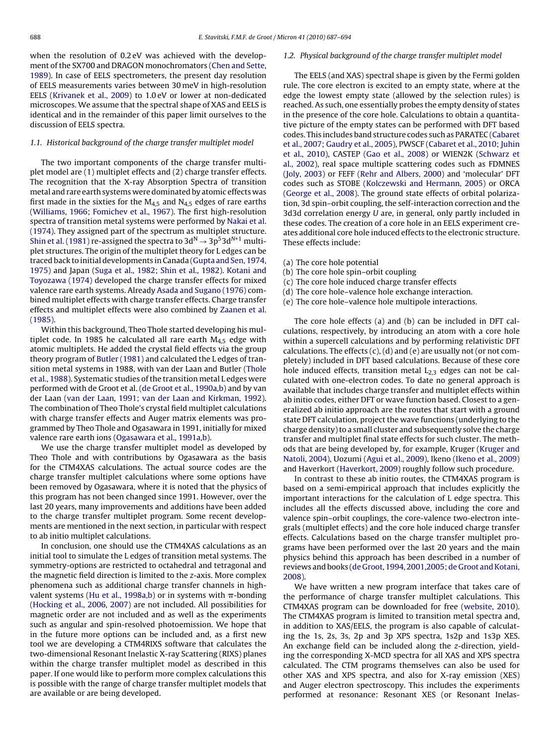when the resolution of 0.2 eV was achieved with the development of the SX700 and DRAGON monochromators [\(Chen and Sette,](#page-7-0) [1989\).](#page-7-0) In case of EELS spectrometers, the present day resolution of EELS measurements varies between 30 meV in high-resolution EELS [\(Krivanek et al., 2009\)](#page-7-0) to 1.0 eV or lower at non-dedicated microscopes. We assume that the spectral shape of XAS and EELS is identical and in the remainder of this paper limit ourselves to the discussion of EELS spectra.

#### 1.1. Historical background of the charge transfer multiplet model

The two important components of the charge transfer multiplet model are (1) multiplet effects and (2) charge transfer effects. The recognition that the X-ray Absorption Spectra of transition metal and rare earth systems were dominated by atomic effects was first made in the sixties for the  $M_{4,5}$  and  $N_{4,5}$  edges of rare earths ([Williams, 1966; Fomichev et al., 1967\).](#page-7-0) The first high-resolution spectra of transition metal systems were performed by [Nakai et al.](#page-7-0) [\(1974\). T](#page-7-0)hey assigned part of the spectrum as multiplet structure. [Shin et al. \(1981\)](#page-7-0) re-assigned the spectra to  $3d^N \rightarrow 3p^53d^{N+1}$  multiplet structures. The origin of the multiplet theory for L edges can be traced back to initial developments in Canada [\(Gupta and Sen, 1974,](#page-7-0) [1975\)](#page-7-0) and Japan [\(Suga et al., 1982; Shin et al., 1982\).](#page-7-0) [Kotani and](#page-7-0) [Toyozawa \(1974\)](#page-7-0) developed the charge transfer effects for mixed valence rare earth systems. Already [Asada and Sugano \(1976\)](#page-7-0) combined multiplet effects with charge transfer effects. Charge transfer effects and multiplet effects were also combined by [Zaanen et al.](#page-7-0) [\(1985\).](#page-7-0)

Within this background, Theo Thole started developing his multiplet code. In 1985 he calculated all rare earth  $M_{4,5}$  edge with atomic multiplets. He added the crystal field effects via the group theory program of [Butler \(1981\)](#page-7-0) and calculated the L edges of transition metal systems in 1988, with van der Laan and Butler [\(Thole](#page-7-0) [et al., 1988\).](#page-7-0) Systematic studies of the transition metal L edges were performed with de Groot et al. [\(de Groot et al., 1990a,b\) a](#page-7-0)nd by van der Laan [\(van der Laan, 1991; van der Laan and Kirkman, 1992\).](#page-7-0) The combination of Theo Thole's crystal field multiplet calculations with charge transfer effects and Auger matrix elements was programmed by Theo Thole and Ogasawara in 1991, initially for mixed valence rare earth ions ([Ogasawara et al., 1991a,b\).](#page-7-0)

We use the charge transfer multiplet model as developed by Theo Thole and with contributions by Ogasawara as the basis for the CTM4XAS calculations. The actual source codes are the charge transfer multiplet calculations where some options have been removed by Ogasawara, where it is noted that the physics of this program has not been changed since 1991. However, over the last 20 years, many improvements and additions have been added to the charge transfer multiplet program. Some recent developments are mentioned in the next section, in particular with respect to ab initio multiplet calculations.

In conclusion, one should use the CTM4XAS calculations as an initial tool to simulate the L edges of transition metal systems. The symmetry-options are restricted to octahedral and tetragonal and the magnetic field direction is limited to the z-axis. More complex phenomena such as additional charge transfer channels in high-valent systems ([Hu et al., 1998a,b\)](#page-7-0) or in systems with  $\pi\text{-bonding}$ ([Hocking et al., 2006, 2007\)](#page-7-0) are not included. All possibilities for magnetic order are not included and as well as the experiments such as angular and spin-resolved photoemission. We hope that in the future more options can be included and, as a first new tool we are developing a CTM4RIXS software that calculates the two-dimensional Resonant Inelastic X-ray Scattering (RIXS) planes within the charge transfer multiplet model as described in this paper. If one would like to perform more complex calculations this is possible with the range of charge transfer multiplet models that are available or are being developed.

#### 1.2. Physical background of the charge transfer multiplet model

The EELS (and XAS) spectral shape is given by the Fermi golden rule. The core electron is excited to an empty state, where at the edge the lowest empty state (allowed by the selection rules) is reached. As such, one essentially probes the empty density of states in the presence of the core hole. Calculations to obtain a quantitative picture of the empty states can be performed with DFT based codes. This includes band structure codes such as PARATEC ([Cabaret](#page-7-0) [et al., 2007; Gaudry et al., 2005\),](#page-7-0) PWSCF [\(Cabaret et al., 2010; Juhin](#page-7-0) [et al., 2010\),](#page-7-0) CASTEP ([Gao et al., 2008\)](#page-7-0) or WIEN2K ([Schwarz et](#page-7-0) [al., 2002\),](#page-7-0) real space multiple scattering codes such as FDMNES [\(Joly, 2003\)](#page-7-0) or FEFF [\(Rehr and Albers, 2000\)](#page-7-0) and 'molecular' DFT codes such as STOBE ([Kolczewski and Hermann, 2005\)](#page-7-0) or ORCA [\(George et al., 2008\).](#page-7-0) The ground state effects of orbital polarization, 3d spin–orbit coupling, the self-interaction correction and the 3d3d correlation energy U are, in general, only partly included in these codes. The creation of a core hole in an EELS experiment creates additional core hole induced effects to the electronic structure. These effects include:

- (a) The core hole potential
- (b) The core hole spin–orbit coupling
- (c) The core hole induced charge transfer effects
- (d) The core hole–valence hole exchange interaction.
- (e) The core hole–valence hole multipole interactions.

The core hole effects (a) and (b) can be included in DFT calculations, respectively, by introducing an atom with a core hole within a supercell calculations and by performing relativistic DFT calculations. The effects  $(c)$ ,  $(d)$  and  $(e)$  are usually not (or not completely) included in DFT based calculations. Because of these core hole induced effects, transition metal  $L_{2,3}$  edges can not be calculated with one-electron codes. To date no general approach is available that includes charge transfer and multiplet effects within ab initio codes, either DFT or wave function based. Closest to a generalized ab initio approach are the routes that start with a ground state DFT calculation, project the wave functions (underlying to the charge density) to a small cluster and subsequently solve the charge transfer and multiplet final state effects for such cluster. The methods that are being developed by, for example, Kruger [\(Kruger and](#page-7-0) [Natoli, 2004\),](#page-7-0) Uozumi [\(Agui et al., 2009\),](#page-7-0) Ikeno ([Ikeno et al., 2009\)](#page-7-0) and Haverkort [\(Haverkort, 2009\)](#page-7-0) roughly follow such procedure.

In contrast to these ab initio routes, the CTM4XAS program is based on a semi-empirical approach that includes explicitly the important interactions for the calculation of L edge spectra. This includes all the effects discussed above, including the core and valence spin–orbit couplings, the core-valence two-electron integrals (multiplet effects) and the core hole induced charge transfer effects. Calculations based on the charge transfer multiplet programs have been performed over the last 20 years and the main physics behind this approach has been described in a number of reviews and books ([de Groot, 1994, 2001,2005; de Groot and Kotani,](#page-7-0) [2008\).](#page-7-0)

We have written a new program interface that takes care of the performance of charge transfer multiplet calculations. This CTM4XAS program can be downloaded for free ([website, 2010\).](#page-7-0) The CTM4XAS program is limited to transition metal spectra and, in addition to XAS/EELS, the program is also capable of calculating the 1s, 2s, 3s, 2p and 3p XPS spectra, 1s2p and 1s3p XES. An exchange field can be included along the z-direction, yielding the corresponding X-MCD spectra for all XAS and XPS spectra calculated. The CTM programs themselves can also be used for other XAS and XPS spectra, and also for X-ray emission (XES) and Auger electron spectroscopy. This includes the experiments performed at resonance: Resonant XES (or Resonant Inelas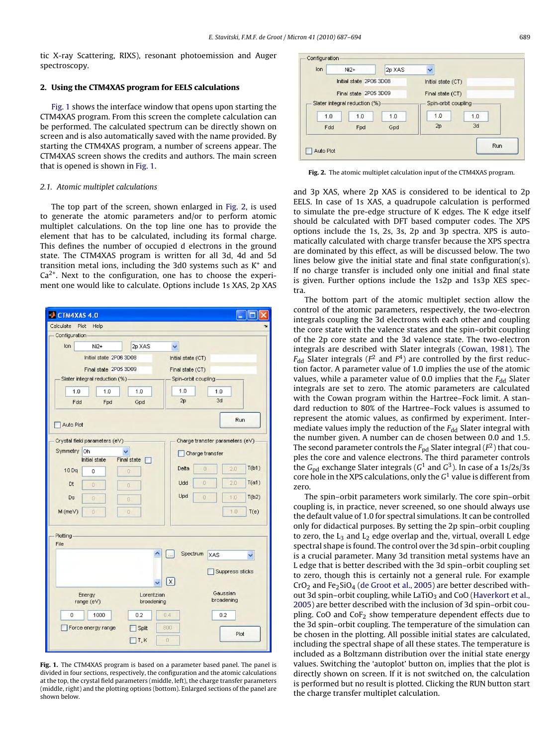<span id="page-2-0"></span>tic X-ray Scattering, RIXS), resonant photoemission and Auger spectroscopy.

#### **2. Using the CTM4XAS program for EELS calculations**

Fig. 1 shows the interface window that opens upon starting the CTM4XAS program. From this screen the complete calculation can be performed. The calculated spectrum can be directly shown on screen and is also automatically saved with the name provided. By starting the CTM4XAS program, a number of screens appear. The CTM4XAS screen shows the credits and authors. The main screen that is opened is shown in Fig. 1.

#### 2.1. Atomic multiplet calculations

The top part of the screen, shown enlarged in Fig. 2, is used to generate the atomic parameters and/or to perform atomic multiplet calculations. On the top line one has to provide the element that has to be calculated, including its formal charge. This defines the number of occupied d electrons in the ground state. The CTM4XAS program is written for all 3d, 4d and 5d transition metal ions, including the 3d0 systems such as  $K^+$  and  $Ca<sup>2+</sup>$ . Next to the configuration, one has to choose the experiment one would like to calculate. Options include 1s XAS, 2p XAS



**Fig. 1.** The CTM4XAS program is based on a parameter based panel. The panel is divided in four sections, respectively, the configuration and the atomic calculations at the top, the crystal field parameters (middle, left), the charge transfer parameters (middle, right) and the plotting options (bottom). Enlarged sections of the panel are shown below.



**Fig. 2.** The atomic multiplet calculation input of the CTM4XAS program.

and 3p XAS, where 2p XAS is considered to be identical to 2p EELS. In case of 1s XAS, a quadrupole calculation is performed to simulate the pre-edge structure of K edges. The K edge itself should be calculated with DFT based computer codes. The XPS options include the 1s, 2s, 3s, 2p and 3p spectra. XPS is automatically calculated with charge transfer because the XPS spectra are dominated by this effect, as will be discussed below. The two lines below give the initial state and final state configuration(s). If no charge transfer is included only one initial and final state is given. Further options include the 1s2p and 1s3p XES spectra.

The bottom part of the atomic multiplet section allow the control of the atomic parameters, respectively, the two-electron integrals coupling the 3d electrons with each other and coupling the core state with the valence states and the spin–orbit coupling of the 2p core state and the 3d valence state. The two-electron integrals are described with Slater integrals ([Cowan, 1981\).](#page-7-0) The  $F_{dd}$  Slater integrals ( $F^2$  and  $F^4$ ) are controlled by the first reduction factor. A parameter value of 1.0 implies the use of the atomic values, while a parameter value of 0.0 implies that the  $F_{dd}$  Slater integrals are set to zero. The atomic parameters are calculated with the Cowan program within the Hartree–Fock limit. A standard reduction to 80% of the Hartree–Fock values is assumed to represent the atomic values, as confirmed by experiment. Intermediate values imply the reduction of the  $F_{dd}$  Slater integral with the number given. A number can de chosen between 0.0 and 1.5. The second parameter controls the  $F_{\text{pd}}$  Slater integral ( $F^2$ ) that couples the core and valence electrons. The third parameter controls the  $G_{nd}$  exchange Slater integrals ( $G^1$  and  $G^3$ ). In case of a 1s/2s/3s core hole in the XPS calculations, only the  $G<sup>1</sup>$  value is different from zero.

The spin–orbit parameters work similarly. The core spin–orbit coupling is, in practice, never screened, so one should always use the default value of 1.0 for spectral simulations. It can be controlled only for didactical purposes. By setting the 2p spin–orbit coupling to zero, the  $L_3$  and  $L_2$  edge overlap and the, virtual, overall L edge spectral shape is found. The control over the 3d spin–orbit coupling is a crucial parameter. Many 3d transition metal systems have an L edge that is better described with the 3d spin–orbit coupling set to zero, though this is certainly not a general rule. For example  $CrO<sub>2</sub>$  and Fe<sub>2</sub>SiO<sub>4</sub> [\(de Groot et al., 2005\) a](#page-7-0)re better described with-out 3d spin–orbit coupling, while LaTiO<sub>3</sub> and CoO ([Haverkort et al.,](#page-7-0) [2005\)](#page-7-0) are better described with the inclusion of 3d spin–orbit coupling. CoO and  $COF<sub>2</sub>$  show temperature dependent effects due to the 3d spin–orbit coupling. The temperature of the simulation can be chosen in the plotting. All possible initial states are calculated, including the spectral shape of all these states. The temperature is included as a Boltzmann distribution over the initial state energy values. Switching the 'autoplot' button on, implies that the plot is directly shown on screen. If it is not switched on, the calculation is performed but no result is plotted. Clicking the RUN button start the charge transfer multiplet calculation.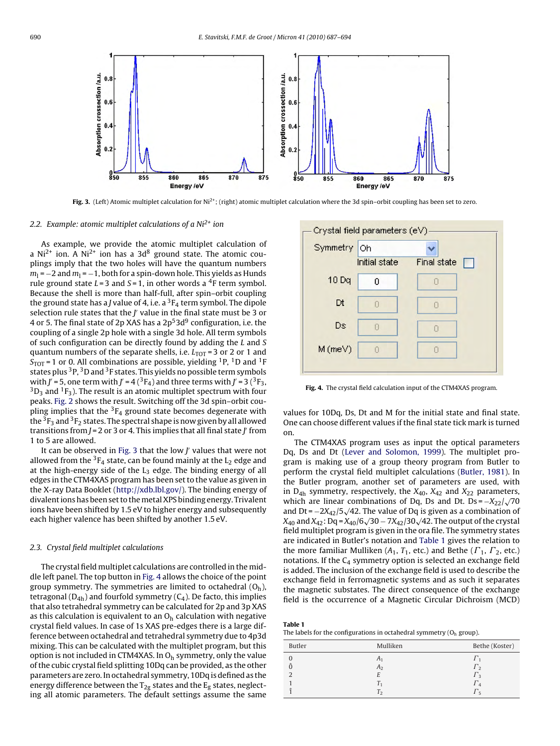

Fig. 3. (Left) Atomic multiplet calculation for Ni<sup>2+</sup>; (right) atomic multiplet calculation where the 3d spin–orbit coupling has been set to zero.

#### 2.2. Example: atomic multiplet calculations of a  $Ni<sup>2+</sup>$  ion

As example, we provide the atomic multiplet calculation of a Ni<sup>2+</sup> ion. A Ni<sup>2+</sup> ion has a 3d<sup>8</sup> ground state. The atomic couplings imply that the two holes will have the quantum numbers  $m_1 = -2$  and  $m_1 = -1$ , both for a spin-down hole. This yields as Hunds rule ground state  $L = 3$  and  $S = 1$ , in other words a <sup>4</sup>F term symbol. Because the shell is more than half-full, after spin–orbit coupling the ground state has a *J* value of 4, i.e. a  ${}^{3}F_{4}$  term symbol. The dipole selection rule states that the  $J'$  value in the final state must be 3 or 4 or 5. The final state of 2p XAS has a  $2p<sup>5</sup>3d<sup>9</sup>$  configuration, i.e. the coupling of a single 2p hole with a single 3d hole. All term symbols of such configuration can be directly found by adding the L and S quantum numbers of the separate shells, i.e.  $L_{\text{TOT}}$  = 3 or 2 or 1 and  $S_{\text{TOT}}$  = 1 or 0. All combinations are possible, yielding <sup>1</sup>P, <sup>1</sup>D and <sup>1</sup>F states plus 3P, 3D and 3F states. This yields no possible term symbols with J' = 5, one term with J' = 4 (<sup>3</sup>F<sub>4</sub>) and three terms with J' = 3 (<sup>3</sup>F<sub>3</sub>,  ${}^{3}D_{3}$  and  ${}^{1}F_{3}$ ). The result is an atomic multiplet spectrum with four peaks. [Fig. 2](#page-2-0) shows the result. Switching off the 3d spin–orbit coupling implies that the  ${}^{3}F_{4}$  ground state becomes degenerate with the  ${}^{3}F_{3}$  and  ${}^{3}F_{2}$  states. The spectral shape is now given by all allowed transitions from J = 2 or 3 or 4. This implies that all final state J $^{\prime}$  from 1 to 5 are allowed.

It can be observed in Fig. 3 that the low J values that were not allowed from the  ${}^{3}F_{4}$  state, can be found mainly at the  $L_{2}$  edge and at the high-energy side of the  $L_3$  edge. The binding energy of all edges in the CTM4XAS program has been set to the value as given in the X-ray Data Booklet (<http://xdb.lbl.gov/>). The binding energy of divalent ions has been set to themetal XPS binding energy. Trivalent ions have been shifted by 1.5 eV to higher energy and subsequently each higher valence has been shifted by another 1.5 eV.

#### 2.3. Crystal field multiplet calculations

The crystal field multiplet calculations are controlled in the middle left panel. The top button in Fig. 4 allows the choice of the point group symmetry. The symmetries are limited to octahedral  $(O_h)$ , tetragonal  $(D_{4h})$  and fourfold symmetry  $(C_4)$ . De facto, this implies that also tetrahedral symmetry can be calculated for 2p and 3p XAS as this calculation is equivalent to an  $O<sub>h</sub>$  calculation with negative crystal field values. In case of 1s XAS pre-edges there is a large difference between octahedral and tetrahedral symmetry due to 4p3d mixing. This can be calculated with the multiplet program, but this option is not included in CTM4XAS. In  $O<sub>h</sub>$  symmetry, only the value of the cubic crystal field splitting 10Dq can be provided, as the other parameters are zero. In octahedral symmetry, 10Dq is defined as the energy difference between the  $T_{2g}$  states and the  $E_g$  states, neglecting all atomic parameters. The default settings assume the same



**Fig. 4.** The crystal field calculation input of the CTM4XAS program.

values for 10Dq, Ds, Dt and M for the initial state and final state. One can choose different values if the final state tick mark is turned on.

The CTM4XAS program uses as input the optical parameters Dq, Ds and Dt ([Lever and Solomon, 1999\).](#page-7-0) The multiplet program is making use of a group theory program from Butler to perform the crystal field multiplet calculations ([Butler, 1981\).](#page-7-0) In the Butler program, another set of parameters are used, with in  $D_{4h}$  symmetry, respectively, the  $X_{40}$ ,  $X_{42}$  and  $X_{22}$  parameters, which are linear combinations of Dq, Ds and Dt. Ds =  $-X_{22}/\sqrt{70}$ and Dt =  $-2X_{42}/5\sqrt{42}$ . The value of Dq is given as a combination of  $X_{40}$  and  $X_{42}$ : Dq =  $X_{40}/6\sqrt{30} - 7X_{42}/30\sqrt{42}$ . The output of the crystal field multiplet program is given in the ora file. The symmetry states are indicated in Butler's notation and Table 1 gives the relation to the more familiar Mulliken ( $A_1$ ,  $T_1$ , etc.) and Bethe ( $\Gamma_1$ ,  $\Gamma_2$ , etc.) notations. If the  $C_4$  symmetry option is selected an exchange field is added. The inclusion of the exchange field is used to describe the exchange field in ferromagnetic systems and as such it separates the magnetic substates. The direct consequence of the exchange field is the occurrence of a Magnetic Circular Dichroism (MCD)

| Table 1                                                                          |
|----------------------------------------------------------------------------------|
| The labels for the configurations in octahedral symmetry $(O_h \text{ group})$ . |

| Butler | Mulliken       | Bethe (Koster) |
|--------|----------------|----------------|
|        | A <sub>1</sub> |                |
|        | A <sub>2</sub> | <i>l</i> າ     |
|        |                | I 2            |
|        |                |                |
|        | T <sub>2</sub> | l 5            |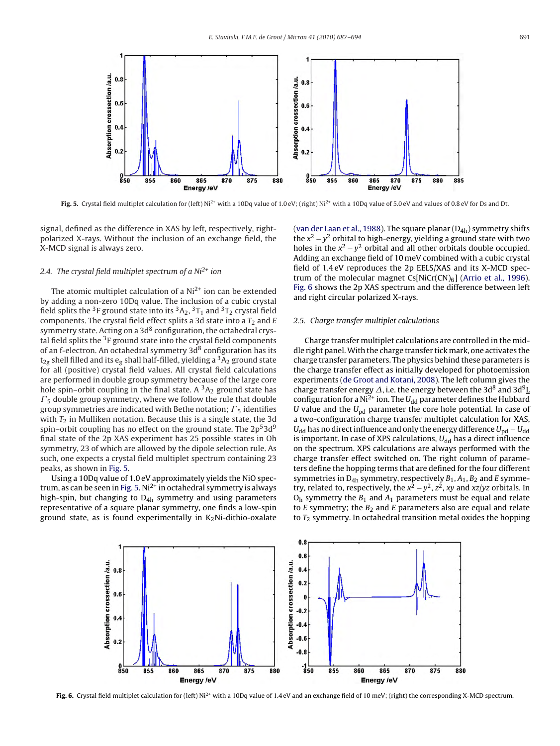<span id="page-4-0"></span>

Fig. 5. Crystal field multiplet calculation for (left) Ni<sup>2+</sup> with a 10Dq value of 1.0 eV; (right) Ni<sup>2+</sup> with a 10Dq value of 5.0 eV and values of 0.8 eV for Ds and Dt.

signal, defined as the difference in XAS by left, respectively, rightpolarized X-rays. Without the inclusion of an exchange field, the X-MCD signal is always zero.

## 2.4. The crystal field multiplet spectrum of a  $Ni<sup>2+</sup>$  ion

The atomic multiplet calculation of a  $Ni<sup>2+</sup>$  ion can be extended by adding a non-zero 10Dq value. The inclusion of a cubic crystal field splits the <sup>3</sup>F ground state into its  ${}^3A_2$ ,  ${}^3T_1$  and  ${}^3T_2$  crystal field components. The crystal field effect splits a 3d state into a  $T_2$  and E symmetry state. Acting on a  $3d<sup>8</sup>$  configuration, the octahedral crystal field splits the  $3F$  ground state into the crystal field components of an f-electron. An octahedral symmetry  $3d<sup>8</sup>$  configuration has its  $t_{2g}$  shell filled and its  $e_g$  shall half-filled, yielding a  ${}^{3}A_2$  ground state for all (positive) crystal field values. All crystal field calculations are performed in double group symmetry because of the large core hole spin–orbit coupling in the final state. A  ${}^{3}A_{2}$  ground state has  $\mathit{\Gamma}_5$  double group symmetry, where we follow the rule that double group symmetries are indicated with Bethe notation;  $\mathit{\Gamma}_5$  identifies with  $T_2$  in Mulliken notation. Because this is a single state, the 3d spin–orbit coupling has no effect on the ground state. The  $2p<sup>5</sup>3d<sup>9</sup>$ final state of the 2p XAS experiment has 25 possible states in Oh symmetry, 23 of which are allowed by the dipole selection rule. As such, one expects a crystal field multiplet spectrum containing 23 peaks, as shown in Fig. 5.

Using a 10Dq value of 1.0 eV approximately yields the NiO spectrum, as can be seen in Fig. 5.  $Ni<sup>2+</sup>$  in octahedral symmetry is always high-spin, but changing to  $D_{4h}$  symmetry and using parameters representative of a square planar symmetry, one finds a low-spin ground state, as is found experimentally in  $K_2$ Ni-dithio-oxalate [\(van der Laan et al., 1988\).](#page-7-0) The square planar  $(D_{4h})$  symmetry shifts the  $x^2 - y^2$  orbital to high-energy, yielding a ground state with two holes in the  $x^2 - y^2$  orbital and all other orbitals double occupied. Adding an exchange field of 10 meV combined with a cubic crystal field of 1.4 eV reproduces the 2p EELS/XAS and its X-MCD spectrum of the molecular magnet  $Cs[NiCr(CN)_6]$  ([Arrio et al., 1996\).](#page-7-0) Fig. 6 shows the 2p XAS spectrum and the difference between left and right circular polarized X-rays.

#### 2.5. Charge transfer multiplet calculations

Charge transfer multiplet calculations are controlled in the middle right panel.With the charge transfer tick mark, one activates the charge transfer parameters. The physics behind these parameters is the charge transfer effect as initially developed for photoemission experiments ([de Groot and Kotani, 2008\).](#page-7-0) The left column gives the charge transfer energy  $\Delta$ , i.e. the energy between the 3d<sup>8</sup> and 3d<sup>9</sup>L configuration for a Ni<sup>2+</sup> ion. The  $U_{dd}$  parameter defines the Hubbard U value and the  $U_{\text{nd}}$  parameter the core hole potential. In case of a two-configuration charge transfer multiplet calculation for XAS,  $U_{dd}$  has no direct influence and only the energy difference  $U_{\text{nd}} - U_{dd}$ is important. In case of XPS calculations,  $U_{dd}$  has a direct influence on the spectrum. XPS calculations are always performed with the charge transfer effect switched on. The right column of parameters define the hopping terms that are defined for the four different symmetries in  $D_{4h}$  symmetry, respectively  $B_1$ ,  $A_1$ ,  $B_2$  and E symmetry, related to, respectively, the  $x^2 - y^2$ ,  $z^2$ , xy and xz/yz orbitals. In  $O<sub>h</sub>$  symmetry the  $B<sub>1</sub>$  and  $A<sub>1</sub>$  parameters must be equal and relate to  $E$  symmetry; the  $B_2$  and  $E$  parameters also are equal and relate to  $T_2$  symmetry. In octahedral transition metal oxides the hopping



Fig. 6. Crystal field multiplet calculation for (left) Ni<sup>2+</sup> with a 10Dq value of 1.4 eV and an exchange field of 10 meV; (right) the corresponding X-MCD spectrum.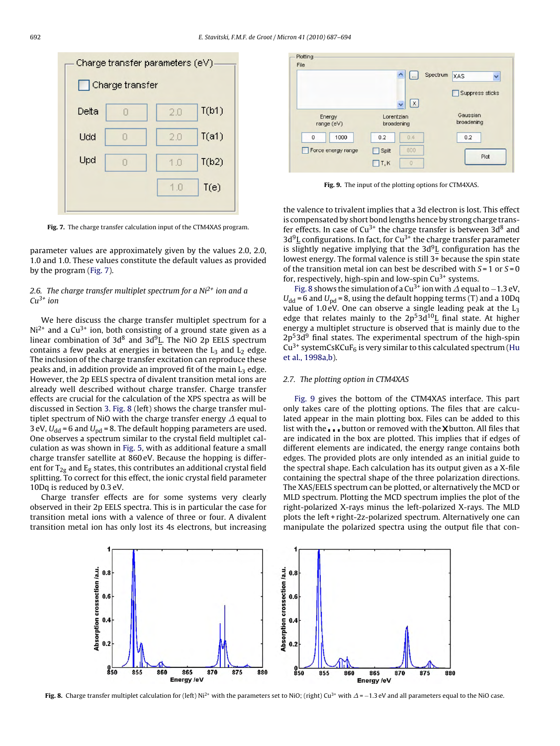

**Fig. 7.** The charge transfer calculation input of the CTM4XAS program.

parameter values are approximately given by the values 2.0, 2.0, 1.0 and 1.0. These values constitute the default values as provided by the program (Fig. 7).

## 2.6. The charge transfer multiplet spectrum for a  $Ni<sup>2+</sup>$  ion and a  $Cu^{3+}$  ion

We here discuss the charge transfer multiplet spectrum for a  $Ni<sup>2+</sup>$  and a Cu<sup>3+</sup> ion, both consisting of a ground state given as a linear combination of  $3d^8$  and  $3d^9L$ . The NiO 2p EELS spectrum contains a few peaks at energies in between the  $L_3$  and  $L_2$  edge. The inclusion of the charge transfer excitation can reproduce these peaks and, in addition provide an improved fit of the main  $L_3$  edge. However, the 2p EELS spectra of divalent transition metal ions are already well described without charge transfer. Charge transfer effects are crucial for the calculation of the XPS spectra as will be discussed in Section [3.](#page-6-0) Fig. 8 (left) shows the charge transfer multiplet spectrum of NiO with the charge transfer energy  $\Delta$  equal to 3 eV,  $U_{dd}$  = 6 and  $U_{pd}$  = 8. The default hopping parameters are used. One observes a spectrum similar to the crystal field multiplet calculation as was shown in [Fig. 5, w](#page-4-0)ith as additional feature a small charge transfer satellite at 860 eV. Because the hopping is different for  $T_{2g}$  and  $E_g$  states, this contributes an additional crystal field splitting. To correct for this effect, the ionic crystal field parameter 10Dq is reduced by 0.3 eV.

Charge transfer effects are for some systems very clearly observed in their 2p EELS spectra. This is in particular the case for transition metal ions with a valence of three or four. A divalent transition metal ion has only lost its 4s electrons, but increasing



**Fig. 9.** The input of the plotting options for CTM4XAS.

the valence to trivalent implies that a 3d electron is lost. This effect is compensated by short bond lengths hence by strong charge transfer effects. In case of  $Cu^{3+}$  the charge transfer is between 3d<sup>8</sup> and  $3d^9$ L configurations. In fact, for Cu<sup>3+</sup> the charge transfer parameter is slightly negative implying that the  $3d<sup>9</sup>L$  configuration has the lowest energy. The formal valence is still 3+ because the spin state of the transition metal ion can best be described with  $S = 1$  or  $S = 0$ for, respectively, high-spin and low-spin  $Cu^{3+}$  systems.

Fig. 8 shows the simulation of a Cu<sup>3+</sup> ion with  $\Delta$  equal to −1.3 eV,  $U_{dd}$  = 6 and  $U_{nd}$  = 8, using the default hopping terms (T) and a 10Dq value of 1.0 eV. One can observe a single leading peak at the  $L_3$ edge that relates mainly to the  $2p^53d^{10}L$  final state. At higher energy a multiplet structure is observed that is mainly due to the  $2p<sup>5</sup>3d<sup>9</sup>$  final states. The experimental spectrum of the high-spin  $Cu^{3+}$  systemCsKCuF<sub>6</sub> is very similar to this calculated spectrum ([Hu](#page-7-0) [et al., 1998a,b\).](#page-7-0)

#### 2.7. The plotting option in CTM4XAS

Fig. 9 gives the bottom of the CTM4XAS interface. This part only takes care of the plotting options. The files that are calculated appear in the main plotting box. Files can be added to this list with the  $\Box$  button or removed with the X button. All files that are indicated in the box are plotted. This implies that if edges of different elements are indicated, the energy range contains both edges. The provided plots are only intended as an initial guide to the spectral shape. Each calculation has its output given as a X-file containing the spectral shape of the three polarization directions. The XAS/EELS spectrum can be plotted, or alternatively the MCD or MLD spectrum. Plotting the MCD spectrum implies the plot of the right-polarized X-rays minus the left-polarized X-rays. The MLD plots the left + right-2z-polarized spectrum. Alternatively one can manipulate the polarized spectra using the output file that con-



**Fig. 8.** Charge transfer multiplet calculation for (left) Ni<sup>2+</sup> with the parameters set to NiO; (right) Cu<sup>3+</sup> with  $\Delta$  = −1.3 eV and all parameters equal to the NiO case.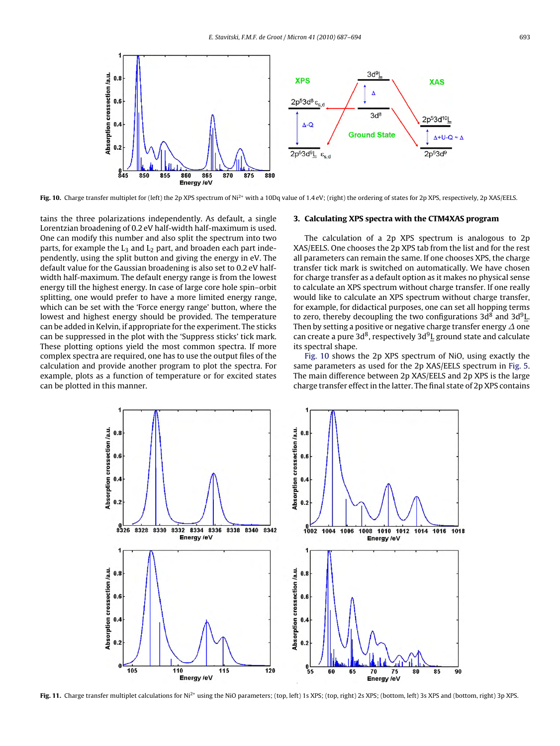<span id="page-6-0"></span>

Fig. 10. Charge transfer multiplet for (left) the 2p XPS spectrum of Ni<sup>2+</sup> with a 10Dq value of 1.4 eV; (right) the ordering of states for 2p XPS, respectively, 2p XAS/EELS.

tains the three polarizations independently. As default, a single Lorentzian broadening of 0.2 eV half-width half-maximum is used. One can modify this number and also split the spectrum into two parts, for example the  $L_3$  and  $L_2$  part, and broaden each part independently, using the split button and giving the energy in eV. The default value for the Gaussian broadening is also set to 0.2 eV halfwidth half-maximum. The default energy range is from the lowest energy till the highest energy. In case of large core hole spin–orbit splitting, one would prefer to have a more limited energy range, which can be set with the 'Force energy range' button, where the lowest and highest energy should be provided. The temperature can be added in Kelvin, if appropriate for the experiment. The sticks can be suppressed in the plot with the 'Suppress sticks' tick mark. These plotting options yield the most common spectra. If more complex spectra are required, one has to use the output files of the calculation and provide another program to plot the spectra. For example, plots as a function of temperature or for excited states can be plotted in this manner.

#### **3. Calculating XPS spectra with the CTM4XAS program**

The calculation of a 2p XPS spectrum is analogous to 2p XAS/EELS. One chooses the 2p XPS tab from the list and for the rest all parameters can remain the same. If one chooses XPS, the charge transfer tick mark is switched on automatically. We have chosen for charge transfer as a default option as it makes no physical sense to calculate an XPS spectrum without charge transfer. If one really would like to calculate an XPS spectrum without charge transfer, for example, for didactical purposes, one can set all hopping terms to zero, thereby decoupling the two configurations  $3d^8$  and  $3d^9L$ . Then by setting a positive or negative charge transfer energy  $\Delta$  one can create a pure 3d<sup>8</sup>, respectively 3d<sup>9</sup>L ground state and calculate its spectral shape.

Fig. 10 shows the 2p XPS spectrum of NiO, using exactly the same parameters as used for the 2p XAS/EELS spectrum in [Fig. 5.](#page-4-0) The main difference between 2p XAS/EELS and 2p XPS is the large charge transfer effect in the latter. The final state of 2p XPS contains



Fig. 11. Charge transfer multiplet calculations for Ni<sup>2+</sup> using the NiO parameters; (top, left) 1s XPS; (top, right) 2s XPS; (bottom, left) 3s XPS and (bottom, right) 3p XPS.